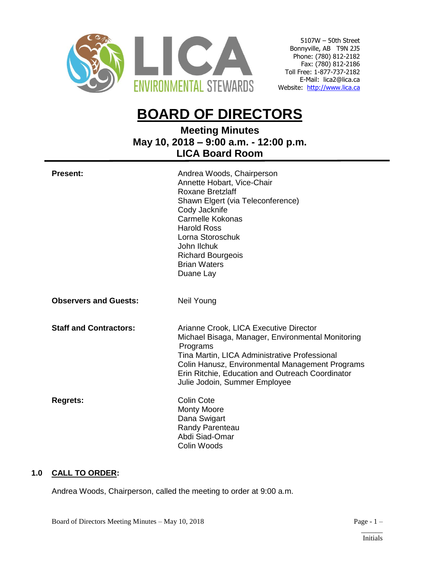

5107W – 50th Street Bonnyville, AB T9N 2J5 Phone: (780) 812-2182 Fax: (780) 812-2186 Toll Free: 1-877-737-2182 E-Mail: lica2@lica.ca Website: [http://www.lica.ca](http://www.lica.ca/)

# **BOARD OF DIRECTORS**

# **Meeting Minutes May 10, 2018 – 9:00 a.m. - 12:00 p.m. LICA Board Room**

| <b>Present:</b>               | Andrea Woods, Chairperson<br>Annette Hobart, Vice-Chair<br>Roxane Bretzlaff<br>Shawn Elgert (via Teleconference)<br>Cody Jacknife<br><b>Carmelle Kokonas</b><br><b>Harold Ross</b><br>Lorna Storoschuk<br>John Ilchuk<br><b>Richard Bourgeois</b><br><b>Brian Waters</b><br>Duane Lay            |
|-------------------------------|--------------------------------------------------------------------------------------------------------------------------------------------------------------------------------------------------------------------------------------------------------------------------------------------------|
| <b>Observers and Guests:</b>  | Neil Young                                                                                                                                                                                                                                                                                       |
| <b>Staff and Contractors:</b> | Arianne Crook, LICA Executive Director<br>Michael Bisaga, Manager, Environmental Monitoring<br>Programs<br>Tina Martin, LICA Administrative Professional<br>Colin Hanusz, Environmental Management Programs<br>Erin Ritchie, Education and Outreach Coordinator<br>Julie Jodoin, Summer Employee |
| <b>Regrets:</b>               | <b>Colin Cote</b><br><b>Monty Moore</b><br>Dana Swigart<br>Randy Parenteau<br>Abdi Siad-Omar<br>Colin Woods                                                                                                                                                                                      |

# **1.0 CALL TO ORDER:**

Andrea Woods, Chairperson, called the meeting to order at 9:00 a.m.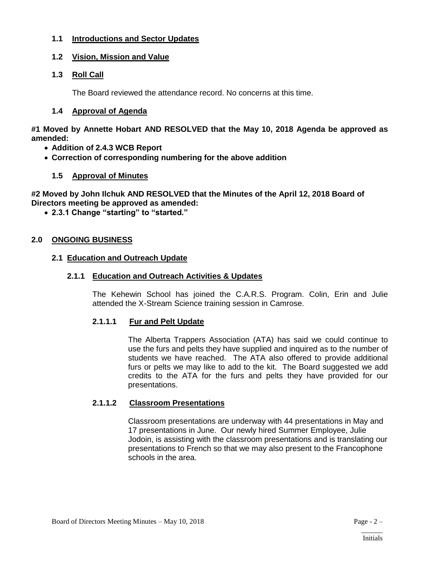# **1.1 Introductions and Sector Updates**

# **1.2 Vision, Mission and Value**

# **1.3 Roll Call**

The Board reviewed the attendance record. No concerns at this time.

# **1.4 Approval of Agenda**

**#1 Moved by Annette Hobart AND RESOLVED that the May 10, 2018 Agenda be approved as amended:**

- **Addition of 2.4.3 WCB Report**
- **Correction of corresponding numbering for the above addition**

# **1.5 Approval of Minutes**

**#2 Moved by John Ilchuk AND RESOLVED that the Minutes of the April 12, 2018 Board of Directors meeting be approved as amended:**

**2.3.1 Change "starting" to "started."**

# **2.0 ONGOING BUSINESS**

# **2.1 Education and Outreach Update**

# **2.1.1 Education and Outreach Activities & Updates**

The Kehewin School has joined the C.A.R.S. Program. Colin, Erin and Julie attended the X-Stream Science training session in Camrose.

# **2.1.1.1 Fur and Pelt Update**

The Alberta Trappers Association (ATA) has said we could continue to use the furs and pelts they have supplied and inquired as to the number of students we have reached. The ATA also offered to provide additional furs or pelts we may like to add to the kit. The Board suggested we add credits to the ATA for the furs and pelts they have provided for our presentations.

# **2.1.1.2 Classroom Presentations**

Classroom presentations are underway with 44 presentations in May and 17 presentations in June. Our newly hired Summer Employee, Julie Jodoin, is assisting with the classroom presentations and is translating our presentations to French so that we may also present to the Francophone schools in the area.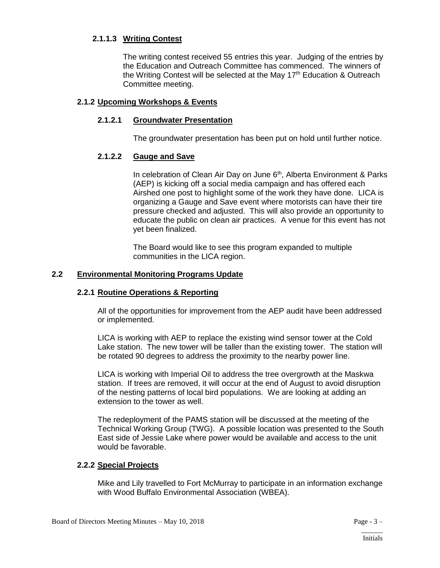# **2.1.1.3 Writing Contest**

The writing contest received 55 entries this year. Judging of the entries by the Education and Outreach Committee has commenced. The winners of the Writing Contest will be selected at the May  $17<sup>th</sup>$  Education & Outreach Committee meeting.

# **2.1.2 Upcoming Workshops & Events**

# **2.1.2.1 Groundwater Presentation**

The groundwater presentation has been put on hold until further notice.

# **2.1.2.2 Gauge and Save**

In celebration of Clean Air Day on June 6<sup>th</sup>, Alberta Environment & Parks (AEP) is kicking off a social media campaign and has offered each Airshed one post to highlight some of the work they have done. LICA is organizing a Gauge and Save event where motorists can have their tire pressure checked and adjusted. This will also provide an opportunity to educate the public on clean air practices. A venue for this event has not yet been finalized.

The Board would like to see this program expanded to multiple communities in the LICA region.

# **2.2 Environmental Monitoring Programs Update**

# **2.2.1 Routine Operations & Reporting**

All of the opportunities for improvement from the AEP audit have been addressed or implemented.

LICA is working with AEP to replace the existing wind sensor tower at the Cold Lake station. The new tower will be taller than the existing tower. The station will be rotated 90 degrees to address the proximity to the nearby power line.

LICA is working with Imperial Oil to address the tree overgrowth at the Maskwa station. If trees are removed, it will occur at the end of August to avoid disruption of the nesting patterns of local bird populations. We are looking at adding an extension to the tower as well.

The redeployment of the PAMS station will be discussed at the meeting of the Technical Working Group (TWG). A possible location was presented to the South East side of Jessie Lake where power would be available and access to the unit would be favorable.

# **2.2.2 Special Projects**

Mike and Lily travelled to Fort McMurray to participate in an information exchange with Wood Buffalo Environmental Association (WBEA).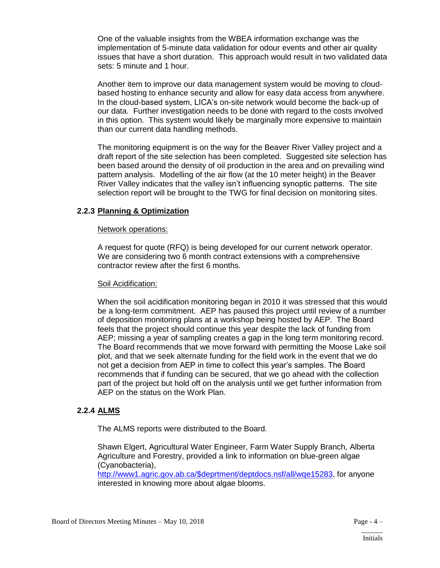One of the valuable insights from the WBEA information exchange was the implementation of 5-minute data validation for odour events and other air quality issues that have a short duration. This approach would result in two validated data sets: 5 minute and 1 hour.

Another item to improve our data management system would be moving to cloudbased hosting to enhance security and allow for easy data access from anywhere. In the cloud-based system, LICA's on-site network would become the back-up of our data. Further investigation needs to be done with regard to the costs involved in this option. This system would likely be marginally more expensive to maintain than our current data handling methods.

The monitoring equipment is on the way for the Beaver River Valley project and a draft report of the site selection has been completed. Suggested site selection has been based around the density of oil production in the area and on prevailing wind pattern analysis. Modelling of the air flow (at the 10 meter height) in the Beaver River Valley indicates that the valley isn't influencing synoptic patterns. The site selection report will be brought to the TWG for final decision on monitoring sites.

# **2.2.3 Planning & Optimization**

#### Network operations:

A request for quote (RFQ) is being developed for our current network operator. We are considering two 6 month contract extensions with a comprehensive contractor review after the first 6 months.

#### Soil Acidification:

When the soil acidification monitoring began in 2010 it was stressed that this would be a long-term commitment. AEP has paused this project until review of a number of deposition monitoring plans at a workshop being hosted by AEP. The Board feels that the project should continue this year despite the lack of funding from AEP; missing a year of sampling creates a gap in the long term monitoring record. The Board recommends that we move forward with permitting the Moose Lake soil plot, and that we seek alternate funding for the field work in the event that we do not get a decision from AEP in time to collect this year's samples. The Board recommends that if funding can be secured, that we go ahead with the collection part of the project but hold off on the analysis until we get further information from AEP on the status on the Work Plan.

# **2.2.4 ALMS**

The ALMS reports were distributed to the Board.

Shawn Elgert, Agricultural Water Engineer, Farm Water Supply Branch, Alberta Agriculture and Forestry, provided a link to information on blue-green algae (Cyanobacteria),

[http://www1.agric.gov.ab.ca/\\$deprtment/deptdocs.nsf/all/wqe15283,](http://www1.agric.gov.ab.ca/$deprtment/deptdocs.nsf/all/wqe15283) for anyone interested in knowing more about algae blooms.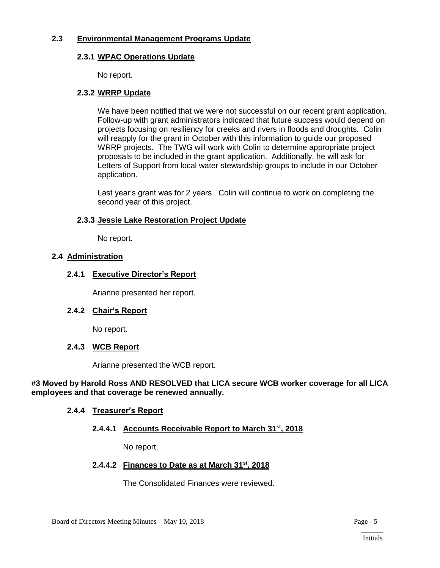# **2.3 Environmental Management Programs Update**

# **2.3.1 WPAC Operations Update**

No report.

#### **2.3.2 WRRP Update**

We have been notified that we were not successful on our recent grant application. Follow-up with grant administrators indicated that future success would depend on projects focusing on resiliency for creeks and rivers in floods and droughts. Colin will reapply for the grant in October with this information to guide our proposed WRRP projects. The TWG will work with Colin to determine appropriate project proposals to be included in the grant application. Additionally, he will ask for Letters of Support from local water stewardship groups to include in our October application.

Last year's grant was for 2 years. Colin will continue to work on completing the second year of this project.

# **2.3.3 Jessie Lake Restoration Project Update**

No report.

# **2.4 Administration**

# **2.4.1 Executive Director's Report**

Arianne presented her report.

# **2.4.2 Chair's Report**

No report.

# **2.4.3 WCB Report**

Arianne presented the WCB report.

#### **#3 Moved by Harold Ross AND RESOLVED that LICA secure WCB worker coverage for all LICA employees and that coverage be renewed annually.**

# **2.4.4 Treasurer's Report**

# **2.4.4.1 Accounts Receivable Report to March 31st, 2018**

No report.

# **2.4.4.2 Finances to Date as at March 31st, 2018**

The Consolidated Finances were reviewed.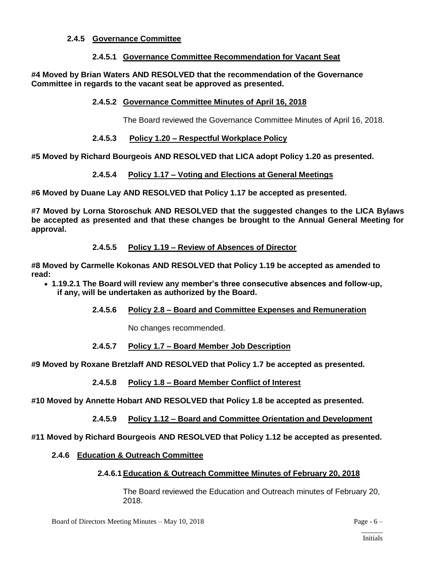#### **2.4.5 Governance Committee**

#### **2.4.5.1 Governance Committee Recommendation for Vacant Seat**

**#4 Moved by Brian Waters AND RESOLVED that the recommendation of the Governance Committee in regards to the vacant seat be approved as presented.**

#### **2.4.5.2 Governance Committee Minutes of April 16, 2018**

The Board reviewed the Governance Committee Minutes of April 16, 2018.

#### **2.4.5.3 Policy 1.20 – Respectful Workplace Policy**

**#5 Moved by Richard Bourgeois AND RESOLVED that LICA adopt Policy 1.20 as presented.**

#### **2.4.5.4 Policy 1.17 – Voting and Elections at General Meetings**

**#6 Moved by Duane Lay AND RESOLVED that Policy 1.17 be accepted as presented.**

**#7 Moved by Lorna Storoschuk AND RESOLVED that the suggested changes to the LICA Bylaws be accepted as presented and that these changes be brought to the Annual General Meeting for approval.**

#### **2.4.5.5 Policy 1.19 – Review of Absences of Director**

**#8 Moved by Carmelle Kokonas AND RESOLVED that Policy 1.19 be accepted as amended to read:**

- **1.19.2.1 The Board will review any member's three consecutive absences and follow-up, if any, will be undertaken as authorized by the Board.**
	- **2.4.5.6 Policy 2.8 – Board and Committee Expenses and Remuneration**

No changes recommended.

#### **2.4.5.7 Policy 1.7 – Board Member Job Description**

**#9 Moved by Roxane Bretzlaff AND RESOLVED that Policy 1.7 be accepted as presented.**

#### **2.4.5.8 Policy 1.8 – Board Member Conflict of Interest**

**#10 Moved by Annette Hobart AND RESOLVED that Policy 1.8 be accepted as presented.**

**2.4.5.9 Policy 1.12 – Board and Committee Orientation and Development**

**#11 Moved by Richard Bourgeois AND RESOLVED that Policy 1.12 be accepted as presented.**

#### **2.4.6 Education & Outreach Committee**

# **2.4.6.1Education & Outreach Committee Minutes of February 20, 2018**

The Board reviewed the Education and Outreach minutes of February 20, 2018.